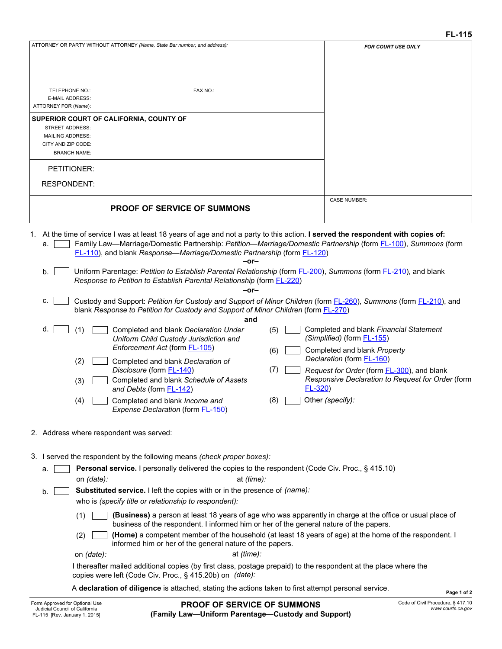| ATTORNEY OR PARTY WITHOUT ATTORNEY (Name, State Bar number, and address):                                                                                                                                                                                                                                                                                                                                                                                                                                                                                                                                                                                                                                                                                                                                                                                                                                                                                                                                                                                                                                                                                                                                                       | FOR COURT USE ONLY                                                                                                                                                                                                                                                       |
|---------------------------------------------------------------------------------------------------------------------------------------------------------------------------------------------------------------------------------------------------------------------------------------------------------------------------------------------------------------------------------------------------------------------------------------------------------------------------------------------------------------------------------------------------------------------------------------------------------------------------------------------------------------------------------------------------------------------------------------------------------------------------------------------------------------------------------------------------------------------------------------------------------------------------------------------------------------------------------------------------------------------------------------------------------------------------------------------------------------------------------------------------------------------------------------------------------------------------------|--------------------------------------------------------------------------------------------------------------------------------------------------------------------------------------------------------------------------------------------------------------------------|
| FAX NO.:<br><b>TELEPHONE NO.:</b><br><b>E-MAIL ADDRESS:</b><br>ATTORNEY FOR (Name):<br>SUPERIOR COURT OF CALIFORNIA, COUNTY OF<br>STREET ADDRESS:<br><b>MAILING ADDRESS:</b><br>CITY AND ZIP CODE:<br><b>BRANCH NAME:</b><br>PETITIONER:<br><b>RESPONDENT:</b>                                                                                                                                                                                                                                                                                                                                                                                                                                                                                                                                                                                                                                                                                                                                                                                                                                                                                                                                                                  |                                                                                                                                                                                                                                                                          |
|                                                                                                                                                                                                                                                                                                                                                                                                                                                                                                                                                                                                                                                                                                                                                                                                                                                                                                                                                                                                                                                                                                                                                                                                                                 | <b>CASE NUMBER:</b>                                                                                                                                                                                                                                                      |
| <b>PROOF OF SERVICE OF SUMMONS</b>                                                                                                                                                                                                                                                                                                                                                                                                                                                                                                                                                                                                                                                                                                                                                                                                                                                                                                                                                                                                                                                                                                                                                                                              |                                                                                                                                                                                                                                                                          |
| 1. At the time of service I was at least 18 years of age and not a party to this action. I served the respondent with copies of:<br>Family Law—Marriage/Domestic Partnership: Petition—Marriage/Domestic Partnership (form FL-100), Summons (form<br>а.<br>FL-110), and blank Response-Marriage/Domestic Partnership (form FL-120)<br>-or-<br>Uniform Parentage: Petition to Establish Parental Relationship (form <b>FL-200)</b> , Summons (form FL-210), and blank<br>b.<br>Response to Petition to Establish Parental Relationship (form <b>FL-220</b> )<br>$-0r-$<br>Custody and Support: Petition for Custody and Support of Minor Children (form FL-260), Summons (form FL-210), and<br>C.<br>blank Response to Petition for Custody and Support of Minor Children (form FL-270)<br>and<br>d.<br>Completed and blank Declaration Under<br>(5)<br>(1)<br>Uniform Child Custody Jurisdiction and<br>Enforcement Act (form <b>FL-105</b> )<br>(6)<br>Completed and blank Declaration of<br>(2)<br>(7)<br>Disclosure (form <b>FL-140)</b><br>Completed and blank Schedule of Assets<br>(3)<br>$FL-320$<br>and Debts (form <b>FL-142)</b><br>Completed and blank Income and<br>(8)<br>(4)<br>Expense Declaration (form FL-150) | Completed and blank Financial Statement<br>(Simplified) (form <b>FL-155)</b><br>Completed and blank Property<br>Declaration (form FL-160)<br>Request for Order (form <b>FL-300</b> ), and blank<br>Responsive Declaration to Request for Order (form<br>Other (specify): |
| 2. Address where respondent was served:                                                                                                                                                                                                                                                                                                                                                                                                                                                                                                                                                                                                                                                                                                                                                                                                                                                                                                                                                                                                                                                                                                                                                                                         |                                                                                                                                                                                                                                                                          |
| 3. I served the respondent by the following means (check proper boxes):<br><b>Personal service.</b> I personally delivered the copies to the respondent (Code Civ. Proc., § 415.10)<br>a.                                                                                                                                                                                                                                                                                                                                                                                                                                                                                                                                                                                                                                                                                                                                                                                                                                                                                                                                                                                                                                       |                                                                                                                                                                                                                                                                          |
| at <i>(time):</i><br>on <i>(date):</i>                                                                                                                                                                                                                                                                                                                                                                                                                                                                                                                                                                                                                                                                                                                                                                                                                                                                                                                                                                                                                                                                                                                                                                                          |                                                                                                                                                                                                                                                                          |
| Substituted service. I left the copies with or in the presence of (name):<br>b <sub>1</sub><br>who is (specify title or relationship to respondent):                                                                                                                                                                                                                                                                                                                                                                                                                                                                                                                                                                                                                                                                                                                                                                                                                                                                                                                                                                                                                                                                            |                                                                                                                                                                                                                                                                          |
| (Business) a person at least 18 years of age who was apparently in charge at the office or usual place of<br>(1)<br>business of the respondent. I informed him or her of the general nature of the papers.<br>(Home) a competent member of the household (at least 18 years of age) at the home of the respondent. I<br>(2)                                                                                                                                                                                                                                                                                                                                                                                                                                                                                                                                                                                                                                                                                                                                                                                                                                                                                                     |                                                                                                                                                                                                                                                                          |
| informed him or her of the general nature of the papers.                                                                                                                                                                                                                                                                                                                                                                                                                                                                                                                                                                                                                                                                                                                                                                                                                                                                                                                                                                                                                                                                                                                                                                        |                                                                                                                                                                                                                                                                          |
| on (date):<br>at (time):<br>I thereafter mailed additional copies (by first class, postage prepaid) to the respondent at the place where the<br>copies were left (Code Civ. Proc., § 415.20b) on (date):                                                                                                                                                                                                                                                                                                                                                                                                                                                                                                                                                                                                                                                                                                                                                                                                                                                                                                                                                                                                                        |                                                                                                                                                                                                                                                                          |
| A declaration of diligence is attached, stating the actions taken to first attempt personal service.                                                                                                                                                                                                                                                                                                                                                                                                                                                                                                                                                                                                                                                                                                                                                                                                                                                                                                                                                                                                                                                                                                                            | Page 1 of 2                                                                                                                                                                                                                                                              |
| BRAAF AF AFBUAF AF AUBUAUA                                                                                                                                                                                                                                                                                                                                                                                                                                                                                                                                                                                                                                                                                                                                                                                                                                                                                                                                                                                                                                                                                                                                                                                                      | Code of Civil Procedure, 8,417,10                                                                                                                                                                                                                                        |